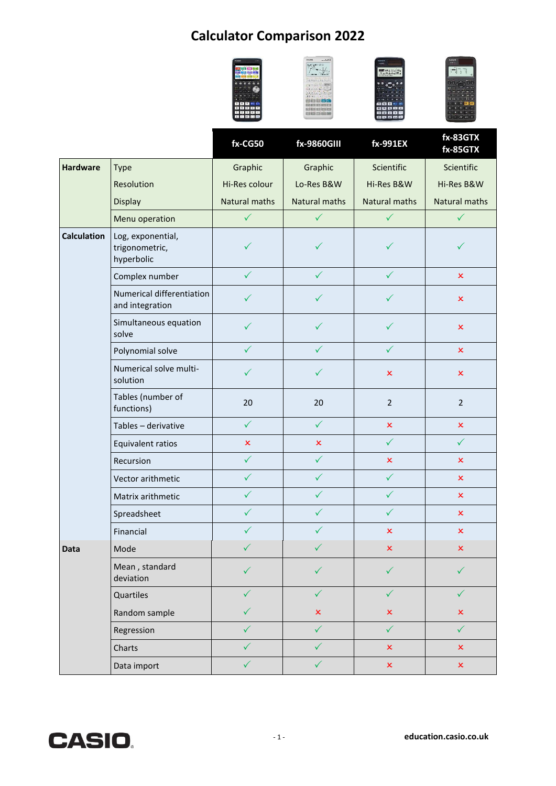## **Calculator Comparison 2022**



|                    |                                                   | fx-CG50              | fx-9860GIII    | fx-991EX             | fx-83GTX<br>fx-85GTX      |
|--------------------|---------------------------------------------------|----------------------|----------------|----------------------|---------------------------|
| <b>Hardware</b>    | Type                                              | Graphic              | Graphic        | Scientific           | Scientific                |
|                    | Resolution                                        | Hi-Res colour        | Lo-Res B&W     | Hi-Res B&W           | Hi-Res B&W                |
|                    | Display                                           | <b>Natural maths</b> | Natural maths  | <b>Natural maths</b> | Natural maths             |
|                    | Menu operation                                    | $\checkmark$         | $\checkmark$   | $\checkmark$         | $\checkmark$              |
| <b>Calculation</b> | Log, exponential,<br>trigonometric,<br>hyperbolic | $\checkmark$         | ✓              | ✓                    | ✓                         |
|                    | Complex number                                    | $\checkmark$         | $\checkmark$   | $\checkmark$         | $\boldsymbol{\mathsf{x}}$ |
|                    | Numerical differentiation<br>and integration      | $\checkmark$         | $\checkmark$   | $\checkmark$         | $\pmb{\times}$            |
|                    | Simultaneous equation<br>solve                    | $\checkmark$         | ✓              | ✓                    | $\pmb{\times}$            |
|                    | Polynomial solve                                  | $\checkmark$         | ✓              | ✓                    | $\pmb{\times}$            |
|                    | Numerical solve multi-<br>solution                | ✓                    | ✓              | $\pmb{\times}$       | $\pmb{\times}$            |
|                    | Tables (number of<br>functions)                   | 20                   | 20             | $\overline{2}$       | $\overline{2}$            |
|                    | Tables - derivative                               | $\checkmark$         | $\checkmark$   | $\pmb{\times}$       | $\pmb{\times}$            |
|                    | Equivalent ratios                                 | $\pmb{\times}$       | $\mathsf{x}$   | $\checkmark$         | $\checkmark$              |
|                    | Recursion                                         | $\checkmark$         | $\checkmark$   | $\pmb{\times}$       | $\boldsymbol{\mathsf{x}}$ |
|                    | Vector arithmetic                                 | $\checkmark$         | $\checkmark$   | $\checkmark$         | $\boldsymbol{\mathsf{x}}$ |
|                    | Matrix arithmetic                                 | $\checkmark$         | ✓              | $\checkmark$         | $\boldsymbol{\mathsf{x}}$ |
|                    | Spreadsheet                                       | $\checkmark$         | $\checkmark$   | $\checkmark$         | $\boldsymbol{\mathsf{x}}$ |
|                    | Financial                                         | $\checkmark$         | $\checkmark$   | $\pmb{\times}$       | $\pmb{\times}$            |
| Data               | Mode                                              | $\checkmark$         | $\checkmark$   | x                    | $\boldsymbol{\mathsf{x}}$ |
|                    | Mean, standard<br>deviation                       | $\checkmark$         | $\checkmark$   | $\checkmark$         | ✓                         |
|                    | Quartiles                                         | $\checkmark$         | $\checkmark$   | $\checkmark$         | $\checkmark$              |
|                    | Random sample                                     | ✓                    | $\pmb{\times}$ | $\pmb{\times}$       | $\pmb{\times}$            |
|                    | Regression                                        | $\checkmark$         | $\checkmark$   | $\checkmark$         | $\checkmark$              |
|                    | Charts                                            | ✓                    | $\checkmark$   | $\pmb{\times}$       | $\pmb{\times}$            |
|                    | Data import                                       | $\checkmark$         | $\checkmark$   | $\pmb{\times}$       | $\pmb{\times}$            |